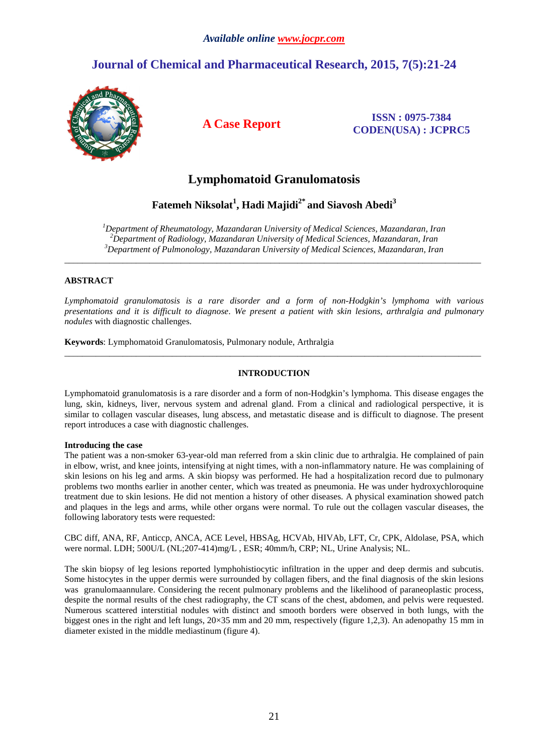# **Journal of Chemical and Pharmaceutical Research, 2015, 7(5):21-24**



**A Case Report ISSN : 0975-7384 CODEN(USA) : JCPRC5**

# **Lymphomatoid Granulomatosis**

## **Fatemeh Niksolat<sup>1</sup> , Hadi Majidi2\* and Siavosh Abedi<sup>3</sup>**

*<sup>1</sup>Department of Rheumatology, Mazandaran University of Medical Sciences, Mazandaran, Iran <sup>2</sup>Department of Radiology, Mazandaran University of Medical Sciences, Mazandaran, Iran <sup>3</sup>Department of Pulmonology, Mazandaran University of Medical Sciences, Mazandaran, Iran* 

\_\_\_\_\_\_\_\_\_\_\_\_\_\_\_\_\_\_\_\_\_\_\_\_\_\_\_\_\_\_\_\_\_\_\_\_\_\_\_\_\_\_\_\_\_\_\_\_\_\_\_\_\_\_\_\_\_\_\_\_\_\_\_\_\_\_\_\_\_\_\_\_\_\_\_\_\_\_\_\_\_\_\_\_\_\_\_\_\_\_\_\_\_

## **ABSTRACT**

*Lymphomatoid granulomatosis is a rare disorder and a form of non-Hodgkin's lymphoma with various presentations and it is difficult to diagnose*. *We present a patient with skin lesions, arthralgia and pulmonary nodules* with diagnostic challenges.

**Keywords**: Lymphomatoid Granulomatosis, Pulmonary nodule, Arthralgia

### **INTRODUCTION**

\_\_\_\_\_\_\_\_\_\_\_\_\_\_\_\_\_\_\_\_\_\_\_\_\_\_\_\_\_\_\_\_\_\_\_\_\_\_\_\_\_\_\_\_\_\_\_\_\_\_\_\_\_\_\_\_\_\_\_\_\_\_\_\_\_\_\_\_\_\_\_\_\_\_\_\_\_\_\_\_\_\_\_\_\_\_\_\_\_\_\_\_\_

Lymphomatoid granulomatosis is a rare disorder and a form of non-Hodgkin's lymphoma. This disease engages the lung, skin, kidneys, liver, nervous system and adrenal gland. From a clinical and radiological perspective, it is similar to collagen vascular diseases, lung abscess, and metastatic disease and is difficult to diagnose. The present report introduces a case with diagnostic challenges.

### **Introducing the case**

The patient was a non-smoker 63-year-old man referred from a skin clinic due to arthralgia. He complained of pain in elbow, wrist, and knee joints, intensifying at night times, with a non-inflammatory nature. He was complaining of skin lesions on his leg and arms. A skin biopsy was performed. He had a hospitalization record due to pulmonary problems two months earlier in another center, which was treated as pneumonia. He was under hydroxychloroquine treatment due to skin lesions. He did not mention a history of other diseases. A physical examination showed patch and plaques in the legs and arms, while other organs were normal. To rule out the collagen vascular diseases, the following laboratory tests were requested:

CBC diff, ANA, RF, Anticcp, ANCA, ACE Level, HBSAg, HCVAb, HIVAb, LFT, Cr, CPK, Aldolase, PSA, which were normal. LDH; 500U/L (NL;207-414)mg/L , ESR; 40mm/h, CRP; NL, Urine Analysis; NL.

The skin biopsy of leg lesions reported lymphohistiocytic infiltration in the upper and deep dermis and subcutis. Some histocytes in the upper dermis were surrounded by collagen fibers, and the final diagnosis of the skin lesions was granulomaannulare. Considering the recent pulmonary problems and the likelihood of paraneoplastic process, despite the normal results of the chest radiography, the CT scans of the chest, abdomen, and pelvis were requested. Numerous scattered interstitial nodules with distinct and smooth borders were observed in both lungs, with the biggest ones in the right and left lungs, 20×35 mm and 20 mm, respectively (figure 1,2,3). An adenopathy 15 mm in diameter existed in the middle mediastinum (figure 4).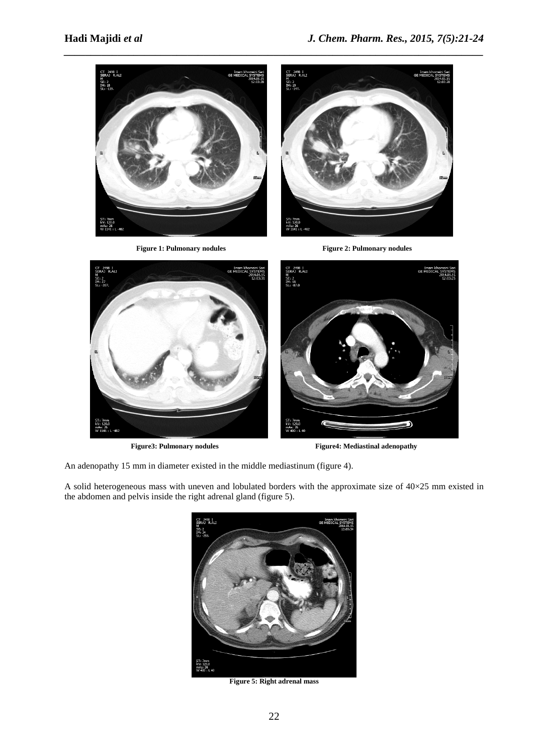

Figure 1: Pulmonary nodules **Figure 2: Pulmonary nodules** 





*\_\_\_\_\_\_\_\_\_\_\_\_\_\_\_\_\_\_\_\_\_\_\_\_\_\_\_\_\_\_\_\_\_\_\_\_\_\_\_\_\_\_\_\_\_\_\_\_\_\_\_\_\_\_\_\_\_\_\_\_\_\_\_\_\_\_\_\_\_\_\_\_\_\_\_\_\_\_*

Figure3: Pulmonary nodules Figure4: Mediastinal adenopathy

An adenopathy 15 mm in diameter existed in the middle mediastinum (figure 4).

A solid heterogeneous mass with uneven and lobulated borders with the approximate size of 40×25 mm existed in the abdomen and pelvis inside the right adrenal gland (figure 5).



**Figure 5: Right adrenal mass**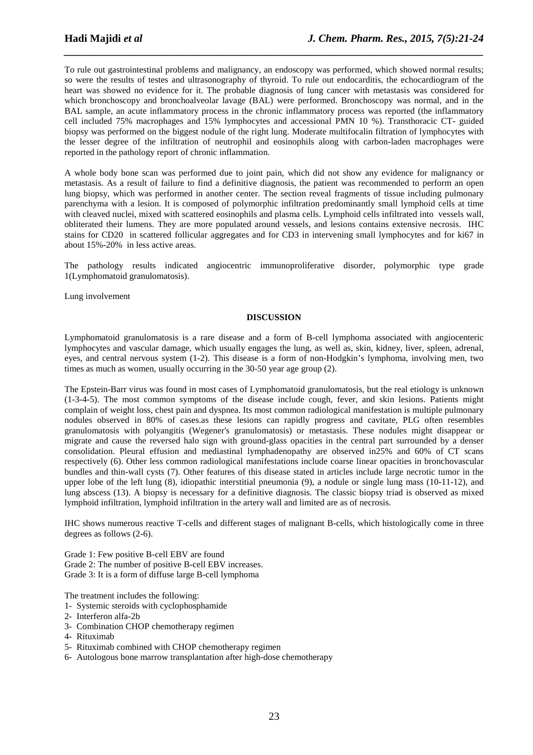To rule out gastrointestinal problems and malignancy, an endoscopy was performed, which showed normal results; so were the results of testes and ultrasonography of thyroid. To rule out endocarditis, the echocardiogram of the heart was showed no evidence for it. The probable diagnosis of lung cancer with metastasis was considered for which bronchoscopy and bronchoalveolar lavage (BAL) were performed. Bronchoscopy was normal, and in the BAL sample, an acute inflammatory process in the chronic inflammatory process was reported (the inflammatory cell included 75% macrophages and 15% lymphocytes and accessional PMN 10 %). Transthoracic CT- guided biopsy was performed on the biggest nodule of the right lung. Moderate multifocalin filtration of lymphocytes with the lesser degree of the infiltration of neutrophil and eosinophils along with carbon-laden macrophages were reported in the pathology report of chronic inflammation.

*\_\_\_\_\_\_\_\_\_\_\_\_\_\_\_\_\_\_\_\_\_\_\_\_\_\_\_\_\_\_\_\_\_\_\_\_\_\_\_\_\_\_\_\_\_\_\_\_\_\_\_\_\_\_\_\_\_\_\_\_\_\_\_\_\_\_\_\_\_\_\_\_\_\_\_\_\_\_*

A whole body bone scan was performed due to joint pain, which did not show any evidence for malignancy or metastasis. As a result of failure to find a definitive diagnosis, the patient was recommended to perform an open lung biopsy, which was performed in another center. The section reveal fragments of tissue including pulmonary parenchyma with a lesion. It is composed of polymorphic infiltration predominantly small lymphoid cells at time with cleaved nuclei, mixed with scattered eosinophils and plasma cells. Lymphoid cells infiltrated into vessels wall, obliterated their lumens. They are more populated around vessels, and lesions contains extensive necrosis. IHC stains for CD20 in scattered follicular aggregates and for CD3 in intervening small lymphocytes and for ki67 in about 15%-20% in less active areas.

The pathology results indicated angiocentric immunoproliferative disorder, polymorphic type grade 1(Lymphomatoid granulomatosis).

Lung involvement

### **DISCUSSION**

Lymphomatoid granulomatosis is a rare disease and a form of B-cell lymphoma associated with angiocenteric lymphocytes and vascular damage, which usually engages the lung, as well as, skin, kidney, liver, spleen, adrenal, eyes, and central nervous system (1-2). This disease is a form of non-Hodgkin's lymphoma, involving men, two times as much as women, usually occurring in the 30-50 year age group (2).

The Epstein-Barr virus was found in most cases of Lymphomatoid granulomatosis, but the real etiology is unknown (1-3-4-5). The most common symptoms of the disease include cough, fever, and skin lesions. Patients might complain of weight loss, chest pain and dyspnea. Its most common radiological manifestation is multiple pulmonary nodules observed in 80% of cases.as these lesions can rapidly progress and cavitate, PLG often resembles granulomatosis with polyangitis (Wegener's granulomatosis) or metastasis. These nodules might disappear or migrate and cause the reversed halo sign with ground-glass opacities in the central part surrounded by a denser consolidation. Pleural effusion and mediastinal lymphadenopathy are observed in25% and 60% of CT scans respectively (6). Other less common radiological manifestations include coarse linear opacities in bronchovascular bundles and thin-wall cysts (7). Other features of this disease stated in articles include large necrotic tumor in the upper lobe of the left lung (8), idiopathic interstitial pneumonia (9), a nodule or single lung mass (10-11-12), and lung abscess (13). A biopsy is necessary for a definitive diagnosis. The classic biopsy triad is observed as mixed lymphoid infiltration, lymphoid infiltration in the artery wall and limited are as of necrosis.

IHC shows numerous reactive T-cells and different stages of malignant B-cells, which histologically come in three degrees as follows (2-6).

Grade 1: Few positive B-cell EBV are found Grade 2: The number of positive B-cell EBV increases. Grade 3: It is a form of diffuse large B*-*cell lymphoma

The treatment includes the following:

- 1- Systemic steroids with cyclophosphamide
- 2- Interferon alfa*-*2b
- 3- Combination CHOP chemotherapy regimen
- 4- Rituximab
- 5- Rituximab combined with CHOP chemotherapy regimen
- 6- Autologous bone marrow transplantation after high-dose chemotherapy